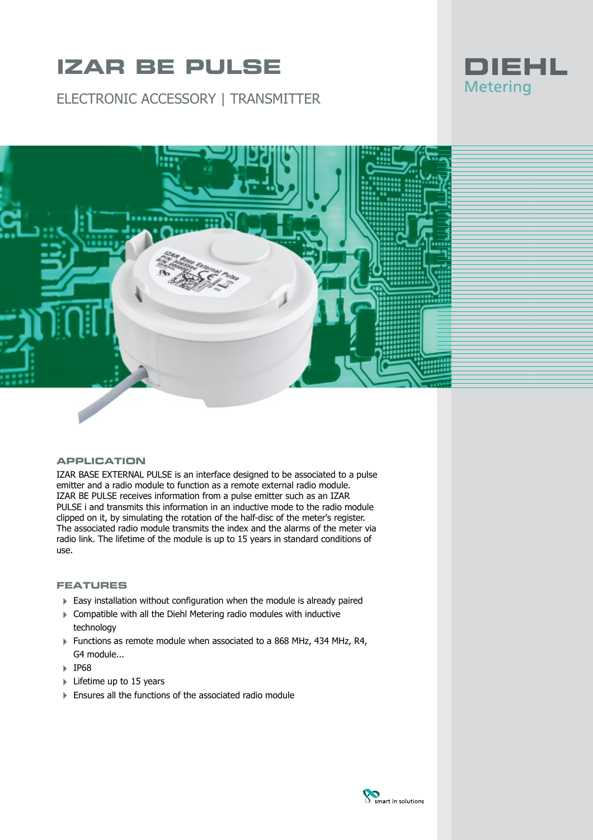# **IZAR BE PULSE**

ELECTRONIC ACCESSORY | TRANSMITTER





#### **APPLICATION**

IZAR BASE EXTERNAL PULSE is an interface designed to be associated to a pulse emitter and a radio module to function as a remote external radio module. IZAR BE PULSE receives information from a pulse emitter such as an IZAR PULSE i and transmits this information in an inductive mode to the radio module clipped on it, by simulating the rotation of the half-disc of the meter's register. The associated radio module transmits the index and the alarms of the meter via radio link. The lifetime of the module is up to 15 years in standard conditions of use.

### **FEATURES**

- Easy installation without configuration when the module is already paired
- 4 Compatible with all the Diehl Metering radio modules with inductive technology
- Functions as remote module when associated to a 868 MHz, 434 MHz, R4, G4 module...
- 4 IP68
- $\blacktriangleright$  Lifetime up to 15 years
- $\blacktriangleright$  Ensures all the functions of the associated radio module

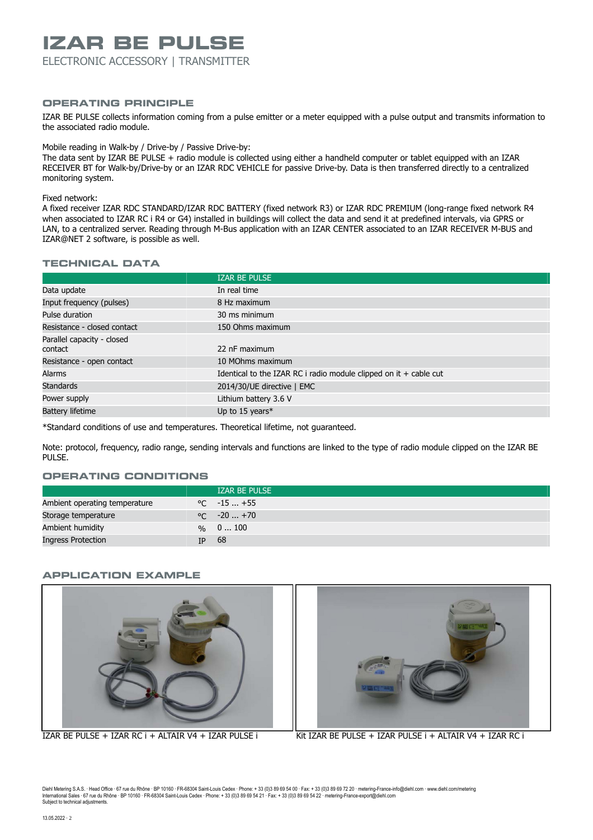## **IZAR BE PULSE**

ELECTRONIC ACCESSORY | TRANSMITTER

### **OPERATING PRINCIPLE**

IZAR BE PULSE collects information coming from a pulse emitter or a meter equipped with a pulse output and transmits information to the associated radio module.

Mobile reading in Walk-by / Drive-by / Passive Drive-by:

The data sent by IZAR BE PULSE + radio module is collected using either a handheld computer or tablet equipped with an IZAR RECEIVER BT for Walk-by/Drive-by or an IZAR RDC VEHICLE for passive Drive-by. Data is then transferred directly to a centralized monitoring system.

#### Fixed network:

A fixed receiver IZAR RDC STANDARD/IZAR RDC BATTERY (fixed network R3) or IZAR RDC PREMIUM (long-range fixed network R4 when associated to IZAR RC i R4 or G4) installed in buildings will collect the data and send it at predefined intervals, via GPRS or LAN, to a centralized server. Reading through M-Bus application with an IZAR CENTER associated to an IZAR RECEIVER M-BUS and IZAR@NET 2 software, is possible as well.

#### **TECHNICAL DATA**

|                                       | <b>IZAR BE PULSE</b>                                                |
|---------------------------------------|---------------------------------------------------------------------|
| Data update                           | In real time                                                        |
| Input frequency (pulses)              | 8 Hz maximum                                                        |
| Pulse duration                        | 30 ms minimum                                                       |
| Resistance - closed contact           | 150 Ohms maximum                                                    |
| Parallel capacity - closed<br>contact | 22 nF maximum                                                       |
| Resistance - open contact             | 10 MOhms maximum                                                    |
| <b>Alarms</b>                         | Identical to the IZAR RC i radio module clipped on it $+$ cable cut |
| <b>Standards</b>                      | 2014/30/UE directive   EMC                                          |
| Power supply                          | Lithium battery 3.6 V                                               |
| <b>Battery lifetime</b>               | Up to 15 years $*$                                                  |

\*Standard conditions of use and temperatures. Theoretical lifetime, not guaranteed.

Note: protocol, frequency, radio range, sending intervals and functions are linked to the type of radio module clipped on the IZAR BE PULSE.

## **OPERATING CONDITIONS**

|                               |     | <b>IZAR BE PULSE</b> |
|-------------------------------|-----|----------------------|
| Ambient operating temperature |     | $\degree$ C $-15+55$ |
| Storage temperature           |     | $\degree$ C $-20+70$ |
| Ambient humidity              |     | $\frac{9}{6}$ 0  100 |
| Ingress Protection            | TP. | - 68                 |

### **APPLICATION EXAMPLE**





IZAR BE PULSE + IZAR RC i + ALTAIR V4 + IZAR PULSE i Kit IZAR BE PULSE + IZAR PULSE i + ALTAIR V4 + IZAR RC i

Diehl Metering S.A.S. · Head Office · 67 rue du Rhône · BP 10160 · FR-68304 Saint-Louis Cedex · Phone: + 33 (0)3 89 69 54 00 · Fax: + 33 (0)3 89 69 72 20 · metering-France-info@diehl.com · www.diehl.com/metering<br>Internati Subject to technical adjustments.